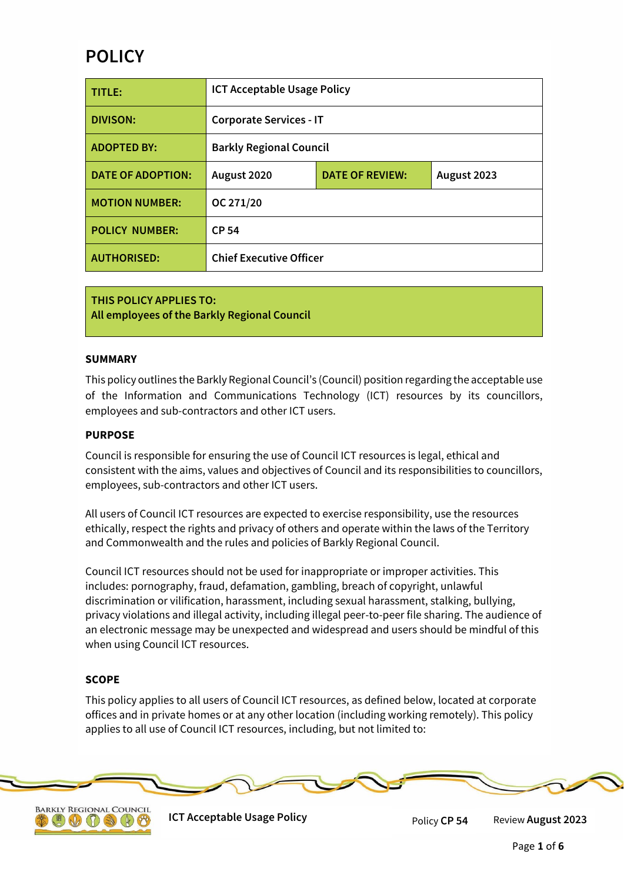# **POLICY**

| TITLE:                   | <b>ICT Acceptable Usage Policy</b> |                        |             |
|--------------------------|------------------------------------|------------------------|-------------|
| <b>DIVISON:</b>          | <b>Corporate Services - IT</b>     |                        |             |
| <b>ADOPTED BY:</b>       | <b>Barkly Regional Council</b>     |                        |             |
| <b>DATE OF ADOPTION:</b> | August 2020                        | <b>DATE OF REVIEW:</b> | August 2023 |
| <b>MOTION NUMBER:</b>    | OC 271/20                          |                        |             |
| <b>POLICY NUMBER:</b>    | <b>CP 54</b>                       |                        |             |
| <b>AUTHORISED:</b>       | <b>Chief Executive Officer</b>     |                        |             |

**THIS POLICY APPLIES TO: All employees of the Barkly Regional Council**

## **SUMMARY**

This policy outlines the Barkly Regional Council's (Council) position regarding the acceptable use of the Information and Communications Technology (ICT) resources by its councillors, employees and sub-contractors and other ICT users.

#### **PURPOSE**

Council is responsible for ensuring the use of Council ICT resources is legal, ethical and consistent with the aims, values and objectives of Council and its responsibilities to councillors, employees, sub-contractors and other ICT users.

All users of Council ICT resources are expected to exercise responsibility, use the resources ethically, respect the rights and privacy of others and operate within the laws of the Territory and Commonwealth and the rules and policies of Barkly Regional Council.

Council ICT resources should not be used for inappropriate or improper activities. This includes: pornography, fraud, defamation, gambling, breach of copyright, unlawful discrimination or vilification, harassment, including sexual harassment, stalking, bullying, privacy violations and illegal activity, including illegal peer-to-peer file sharing. The audience of an electronic message may be unexpected and widespread and users should be mindful of this when using Council ICT resources.

## **SCOPE**

This policy applies to all users of Council ICT resources, as defined below, located at corporate offices and in private homes or at any other location (including working remotely). This policy applies to all use of Council ICT resources, including, but not limited to:





**ICT Acceptable Usage Policy Manufacture 10 August 2023** Policy **CP 54** Review August 2023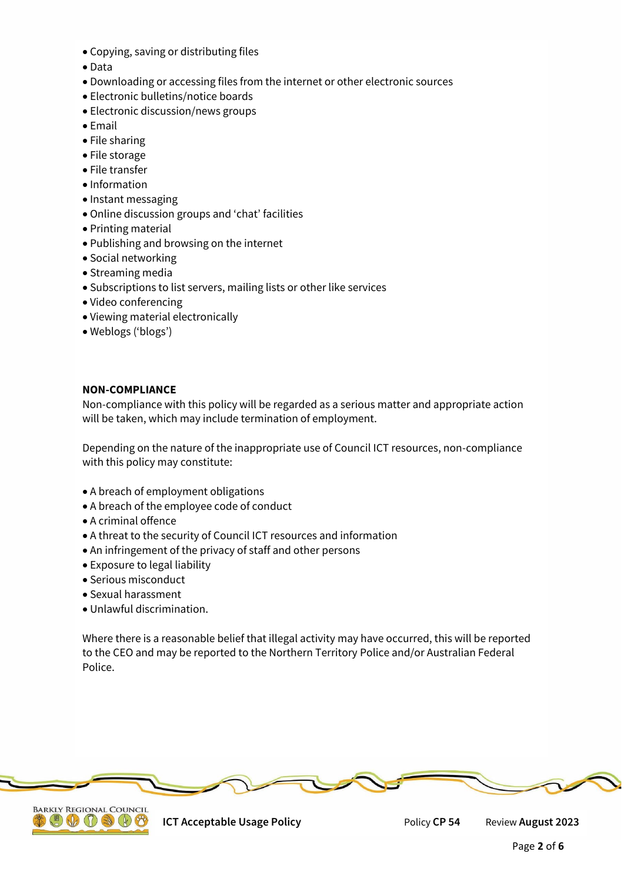- Copying, saving or distributing files
- Data
- Downloading or accessing files from the internet or other electronic sources
- Electronic bulletins/notice boards
- Electronic discussion/news groups
- Email
- File sharing
- File storage
- File transfer
- Information
- Instant messaging
- Online discussion groups and 'chat' facilities
- Printing material
- Publishing and browsing on the internet
- Social networking
- Streaming media
- Subscriptions to list servers, mailing lists or other like services
- Video conferencing
- Viewing material electronically
- Weblogs ('blogs')

#### **NON-COMPLIANCE**

Non-compliance with this policy will be regarded as a serious matter and appropriate action will be taken, which may include termination of employment.

Depending on the nature of the inappropriate use of Council ICT resources, non-compliance with this policy may constitute:

- A breach of employment obligations
- A breach of the employee code of conduct
- A criminal offence
- A threat to the security of Council ICT resources and information
- An infringement of the privacy of staff and other persons
- Exposure to legal liability
- Serious misconduct
- Sexual harassment
- Unlawful discrimination.

Where there is a reasonable belief that illegal activity may have occurred, this will be reported to the CEO and may be reported to the Northern Territory Police and/or Australian Federal Police.





**ICT Acceptable Usage Policy <b>CE Policy CP 54** Review **August 2023**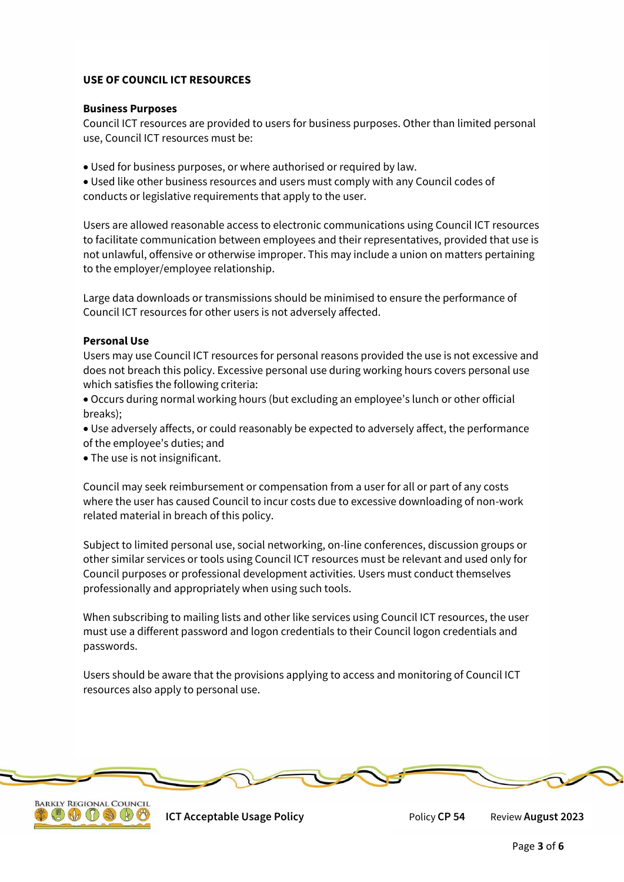# **USE OF COUNCIL ICT RESOURCES**

#### **Business Purposes**

Council ICT resources are provided to users for business purposes. Other than limited personal use, Council ICT resources must be:

Used for business purposes, or where authorised or required by law.

 Used like other business resources and users must comply with any Council codes of conducts or legislative requirements that apply to the user.

Users are allowed reasonable access to electronic communications using Council ICT resources to facilitate communication between employees and their representatives, provided that use is not unlawful, offensive or otherwise improper. This may include a union on matters pertaining to the employer/employee relationship.

Large data downloads or transmissions should be minimised to ensure the performance of Council ICT resources for other users is not adversely affected.

## **Personal Use**

Users may use Council ICT resources for personal reasons provided the use is not excessive and does not breach this policy. Excessive personal use during working hours covers personal use which satisfies the following criteria:

 Occurs during normal working hours (but excluding an employee's lunch or other official breaks);

 Use adversely affects, or could reasonably be expected to adversely affect, the performance of the employee's duties; and

The use is not insignificant.

Council may seek reimbursement or compensation from a user for all or part of any costs where the user has caused Council to incur costs due to excessive downloading of non-work related material in breach of this policy.

Subject to limited personal use, social networking, on-line conferences, discussion groups or other similar services or tools using Council ICT resources must be relevant and used only for Council purposes or professional development activities. Users must conduct themselves professionally and appropriately when using such tools.

When subscribing to mailing lists and other like services using Council ICT resources, the user must use a different password and logon credentials to their Council logon credentials and passwords.

Users should be aware that the provisions applying to access and monitoring of Council ICT resources also apply to personal use.





**ICT Acceptable Usage Policy <b>CP54** Review August 2023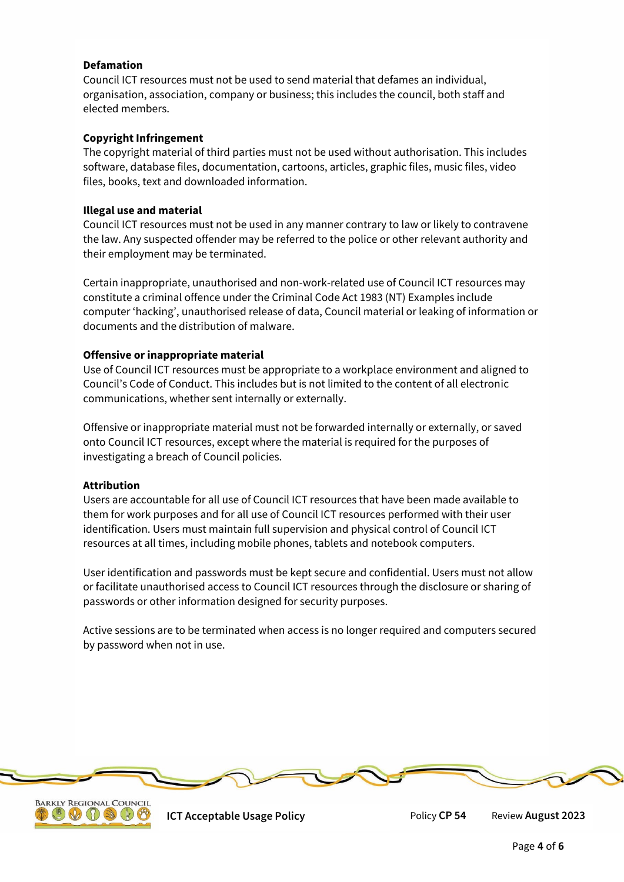## **Defamation**

Council ICT resources must not be used to send material that defames an individual, organisation, association, company or business; this includes the council, both staff and elected members.

## **Copyright Infringement**

The copyright material of third parties must not be used without authorisation. This includes software, database files, documentation, cartoons, articles, graphic files, music files, video files, books, text and downloaded information.

#### **Illegal use and material**

Council ICT resources must not be used in any manner contrary to law or likely to contravene the law. Any suspected offender may be referred to the police or other relevant authority and their employment may be terminated.

Certain inappropriate, unauthorised and non-work-related use of Council ICT resources may constitute a criminal offence under the Criminal Code Act 1983 (NT) Examples include computer 'hacking', unauthorised release of data, Council material or leaking of information or documents and the distribution of malware.

## **Offensive or inappropriate material**

Use of Council ICT resources must be appropriate to a workplace environment and aligned to Council's Code of Conduct. This includes but is not limited to the content of all electronic communications, whether sent internally or externally.

Offensive or inappropriate material must not be forwarded internally or externally, or saved onto Council ICT resources, except where the material is required for the purposes of investigating a breach of Council policies.

#### **Attribution**

Users are accountable for all use of Council ICT resources that have been made available to them for work purposes and for all use of Council ICT resources performed with their user identification. Users must maintain full supervision and physical control of Council ICT resources at all times, including mobile phones, tablets and notebook computers.

User identification and passwords must be kept secure and confidential. Users must not allow or facilitate unauthorised access to Council ICT resources through the disclosure or sharing of passwords or other information designed for security purposes.

Active sessions are to be terminated when access is no longer required and computers secured by password when not in use.





**ICT Acceptable Usage Policy** Policy **CP 54** Review **August 2023**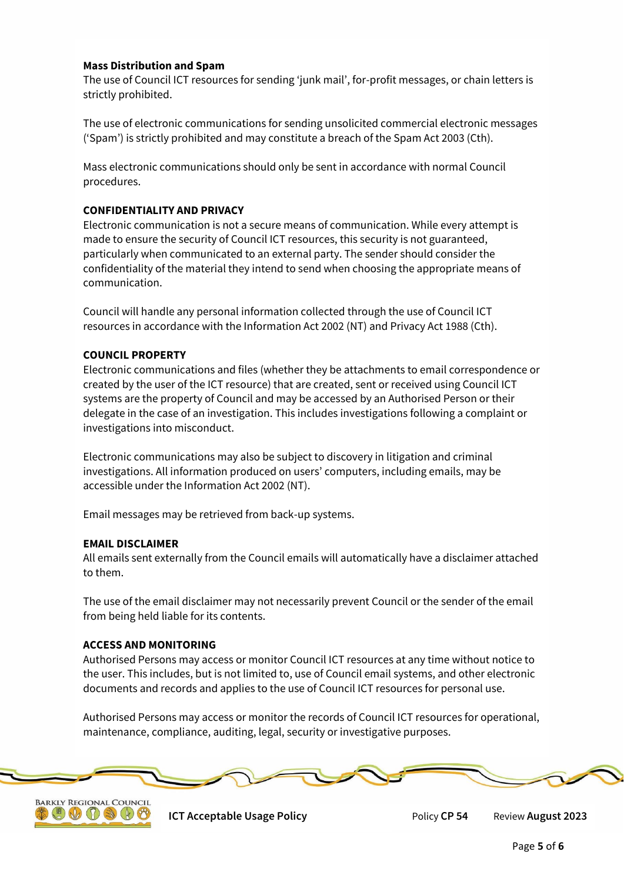## **Mass Distribution and Spam**

The use of Council ICT resources for sending 'junk mail', for-profit messages, or chain letters is strictly prohibited.

The use of electronic communications for sending unsolicited commercial electronic messages ('Spam') is strictly prohibited and may constitute a breach of the Spam Act 2003 (Cth).

Mass electronic communications should only be sent in accordance with normal Council procedures.

## **CONFIDENTIALITY AND PRIVACY**

Electronic communication is not a secure means of communication. While every attempt is made to ensure the security of Council ICT resources, this security is not guaranteed, particularly when communicated to an external party. The sender should consider the confidentiality of the material they intend to send when choosing the appropriate means of communication.

Council will handle any personal information collected through the use of Council ICT resources in accordance with the Information Act 2002 (NT) and Privacy Act 1988 (Cth).

## **COUNCIL PROPERTY**

Electronic communications and files (whether they be attachments to email correspondence or created by the user of the ICT resource) that are created, sent or received using Council ICT systems are the property of Council and may be accessed by an Authorised Person or their delegate in the case of an investigation. This includes investigations following a complaint or investigations into misconduct.

Electronic communications may also be subject to discovery in litigation and criminal investigations. All information produced on users' computers, including emails, may be accessible under the Information Act 2002 (NT).

Email messages may be retrieved from back-up systems.

#### **EMAIL DISCLAIMER**

All emails sent externally from the Council emails will automatically have a disclaimer attached to them.

The use of the email disclaimer may not necessarily prevent Council or the sender of the email from being held liable for its contents.

#### **ACCESS AND MONITORING**

Authorised Persons may access or monitor Council ICT resources at any time without notice to the user. This includes, but is not limited to, use of Council email systems, and other electronic documents and records and applies to the use of Council ICT resources for personal use.

Authorised Persons may access or monitor the records of Council ICT resources for operational, maintenance, compliance, auditing, legal, security or investigative purposes.





**ICT Acceptable Usage Policy** Policy **CP 54** Review **August 2023**